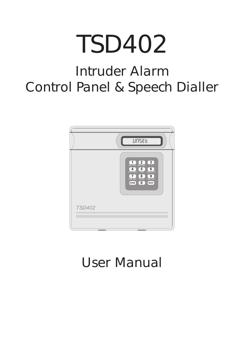# TSD402

# Intruder Alarm Control Panel & Speech Dialler



# User Manual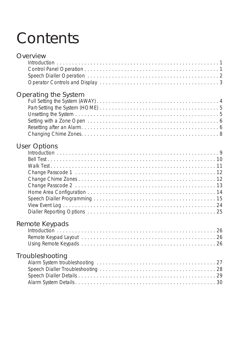# **Contents**

# **Overview**

# Op[erating the System](#page-3-0)

# Us[er Options](#page-7-0)

# Re[mote Keypads](#page-25-0)

# Tro[ubleshooting](#page-27-0)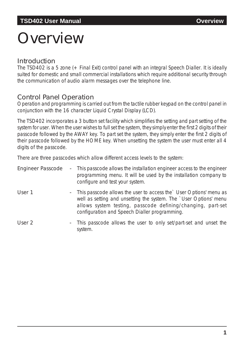# <span id="page-2-0"></span>**Overview**

## **Introduction**

The TSD402 is a 5 zone (+ Final Exit) control panel with an integral Speech Dialler. It is ideally suited for domestic and small commercial installations which require additional security through the communication of audio alarm messages over the telephone line.

## Control Panel Operation

Operation and programming is carried out from the tactile rubber keypad on the control panel in conjunction with the 16 character Liquid Crystal Display (LCD).

The TSD402 incorporates a 3 button set facility which simplifies the setting and part setting of the system for user. When the user wishes to full set the system, they simply enter the first 2 digits of their passcode followed by the AWAY key. To part set the system, they simply enter the first 2 digits of their passcode followed by the HOME key. When unsetting the system the user must enter all 4 digits of the passcode.

There are three passcodes which allow different access levels to the system:

| <b>Engineer Passcode</b> | - This passcode allows the installation engineer access to the engineer<br>programming menu. It will be used by the installation company to<br>configure and test your system.                                                                            |
|--------------------------|-----------------------------------------------------------------------------------------------------------------------------------------------------------------------------------------------------------------------------------------------------------|
| User 1                   | - This passcode allows the user to access the `User Options' menu as<br>well as setting and unsetting the system. The `User Options' menu<br>allows system testing, passcode defining/changing, part-set<br>configuration and Speech Dialler programming. |
| User 2                   | - This passcode allows the user to only set/part-set and unset the<br>system.                                                                                                                                                                             |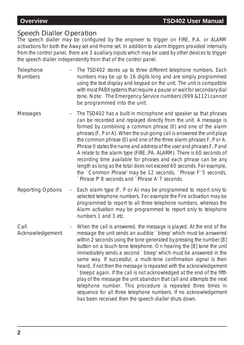### <span id="page-3-0"></span>Speech Dialler Operation

The speech dialler may be configured by the engineer to trigger on FIRE, P.A. or ALARM activations for both the Away set and Home set. In addition to alarm triggers provided internally from the control panel, there are 3 auxiliary inputs which may be used by other devices to trigger the speech dialler independently from that of the control panel.

- **Telephone Numbers** The TSD402 stores up to three different telephone numbers. Each numbers may be up to 16 digits long and are simply programmed using the text display and keypad on the unit. The unit is compatible with most PABX systems that require a pause or wait for secondary dial tone. *Note: The Emergency Service numbers (999 &112) cannot be programmed into the unit.*
- Messages The TSD402 has a built-in microphone and speaker so that phrases can be recorded and replayed directly from the unit. A message is formed by combining a common phrase (0) and one of the alarm phrases (F, P or A). When the out-going call is answered the unit plays the common phrase (0) and one of the three alarm phrases F, P or A. Phrase 0 states the name and address of the user and phrases F, P and A relate to the alarm type (FIRE ,PA, ALARM). There is 60 seconds of recording time available for phrases and each phrase can be any length as long as the total does not exceed 60 seconds. For example, the `Common Phrase' may be 12 seconds, `Phrase F' 5 seconds, `Phrase P' 8 seconds and `Phrase A' 7 seconds.
- Reporting Options Each alarm type (F, P or A) may be programmed to report only to selected telephone numbers. For example the Fire activation may be programmed to report to all three telephone numbers, whereas the Alarm activation may be programmed to report only to telephone numbers 1 and 3 etc.
- Call Acknowledgement When the call is answered, the message is played. At the end of the message the unit sends an audible `bleep' which must be answered within 2 seconds using the tone generated by pressing the number [8] button on a touch-tone telephone. On hearing the [8] tone the unit immediately sends a second `bleep' which must be answered in the same way. If successful, a multi-tone confirmation signal is then heard, if not then the message is repeated with the acknowledgement `bleeps' again. If the call is not acknowledged at the end of the fifth play of the message the unit abandon that call and attempts the next telephone number. This procedure is repeated three times in sequence for all three telephone numbers. If no acknowledgement has been received then the speech dialler shuts down.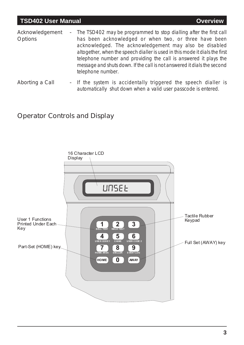- <span id="page-4-0"></span>Acknowledgement **Options** The TSD402 may be programmed to stop dialling after the first call has been acknowledged or when two, or three have been acknowledged. The acknowledgement may also be disabled altogether, when the speech dialler is used in this mode it dials the first telephone number and providing the call is answered it plays the message and shuts down. If the call is not answered it dials the second telephone number.
- Aborting a Call If the system is accidentally triggered the speech dialler is automatically shut down when a valid user passcode is entered.

# Operator Controls and Display

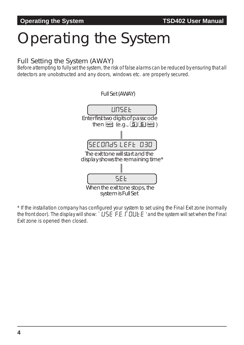# <span id="page-5-0"></span>Operating the System

## Full Setting the System (AWAY)

Before attempting to fully set the system, the risk of false alarms can be reduced by ensuring that all detectors are unobstructed and any doors, windows etc. are properly secured.



\* If the installation company has configured your system to set using the Final Exit zone (normally the front door). The display will show:  $\cdot$  USE F.E. FOULE E ' and the system will set when the Final Exit zone is opened then closed.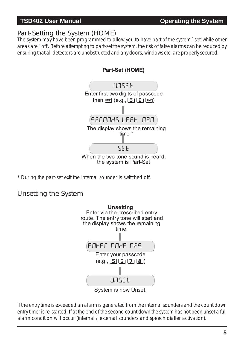# <span id="page-6-0"></span>Part-Setting the System (HOME)

The system may have been programmed to allow you to have part of the system `set' while other areas are `off'. Before attempting to part-set the system, the risk of false alarms can be reduced by ensuring that all detectors are unobstructed and any doors, windows etc. are properly secured.



\* During the part-set exit the internal sounder is switched off.

# Unsetting the System



If the entry time is exceeded an alarm is generated from the internal sounders and the count down entry timer is re-started. If at the end of the second count down the system has not been unset a full alarm condition will occur (internal / external sounders and speech dialler activation).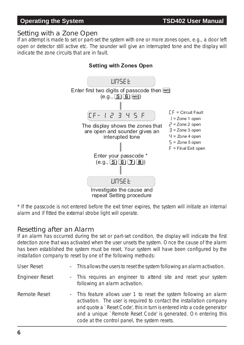#### <span id="page-7-0"></span>**Operating the System TSD402 User Manual**

#### Setting with a Zone Open

If an attempt is made to set or part-set the system with one or more zones open, e.g., a door left open or detector still active etc. The sounder will give an interrupted tone and the display will indicate the zone circuits that are in fault.



\* If the passcode is not entered before the exit timer expires, the system will initiate an internal alarm and if fitted the external strobe light will operate.

### Resetting after an Alarm

If an alarm has occurred during the set or part-set condition, the display will indicate the first detection zone that was activated when the user unsets the system. Once the cause of the alarm has been established the system must be reset. Your system will have been configured by the installation company to reset by one of the following methods:

| User Reset |  | This allows the users to reset the system following an alarm activation. |
|------------|--|--------------------------------------------------------------------------|
|------------|--|--------------------------------------------------------------------------|

- Engineer Reset This requires an engineer to attend site and reset your system following an alarm activation.
- Remote Reset This feature allows user 1 to reset the system following an alarm activation. The user is required to contact the installation company and quote a `Reset Code', this in turn is entered into a code generator and a unique `Remote Reset Code' is generated. On entering this code at the control panel, the system resets.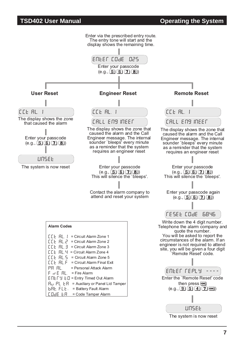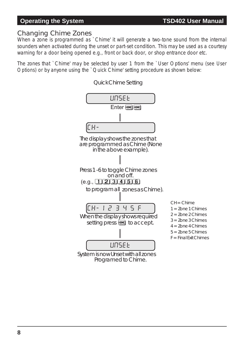## <span id="page-9-0"></span>Changing Chime Zones

When a zone is programmed as `Chime' it will generate a two-tone sound from the internal sounders when activated during the unset or part-set condition. This may be used as a courtesy warning for a door being opened e.g., front or back door, or shop entrance door etc.

The zones that `Chime' may be selected by user 1 from the `User Options' menu *(see User Options*) or by anyone using the `Quick Chime' setting procedure as shown below:

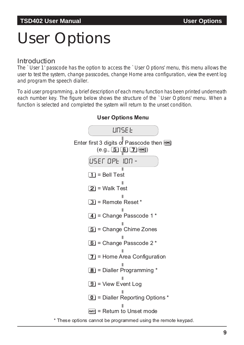# <span id="page-10-0"></span>User Options

### Introduction

The `User 1' passcode has the option to access the `User Options' menu, this menu allows the user to test the system, change passcodes, change Home area configuration, view the event log and program the speech dialler.

To aid user programming, a brief description of each menu function has been printed underneath each number key. The figure below shows the structure of the `User Options' menu. When a function is selected and completed the system will return to the unset condition.



**User Options Menu**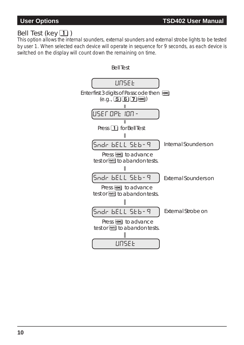# <span id="page-11-0"></span>Bell Test (key  $\Box$ )

This option allows the internal sounders, external sounders and external strobe lights to be tested by user 1. When selected each device will operate in sequence for 9 seconds, as each device is switched on the display will count down the remaining on time.

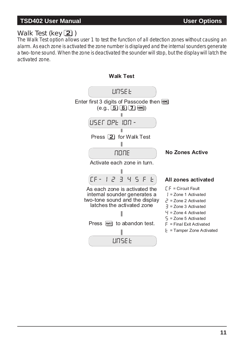# <span id="page-12-0"></span>Walk Test (key  $\boxed{2}$ )

The Walk Test option allows user 1 to test the function of all detection zones without causing an alarm. As each zone is activated the zone number is displayed and the internal sounders generate a two-tone sound. When the zone is deactivated the sounder will stop, but the display will latch the activated zone.



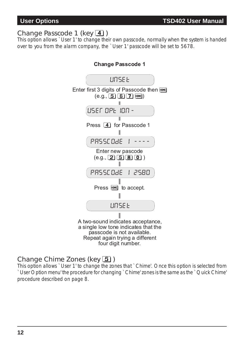### <span id="page-13-0"></span>Change Passcode 1 (key  $\boxed{4}$ )

This option allows `User 1' to change their own passcode, normally when the system is handed over to you from the alarm company, the `User 1' passcode will be set to 5678.



<sup>A</sup> two-sound indicates acceptance, <sup>a</sup> single low tone indicates that the Repeat again trying a different four digit number.

## Change Chime Zones (key  $\boxed{5}$ )

This option allows `User 1' to change the zones that `Chime'. Once this option is selected from `User Option menu' the procedure for changing `Chime' zones is the same as the `Quick Chime' procedure described on page 8.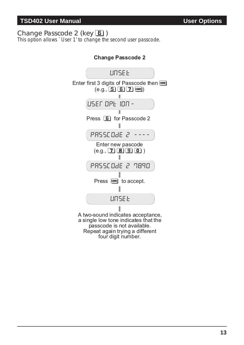## <span id="page-14-0"></span>Change Passcode 2 (key 6)

This option allows `User 1' to change the second user passcode.



Repeat again trying a different four digit number.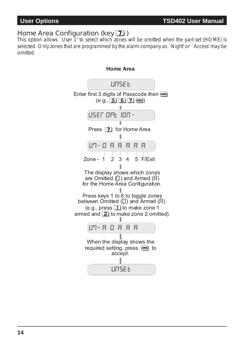# <span id="page-15-0"></span>Home Area Configuration (key  $\boxed{7}$ )

This option allows `User 1' to select which zones will be omitted when the part-set (HOME) is selected. Only zones that are programmed by the alarm company as `Night' or `Access' may be omitted.

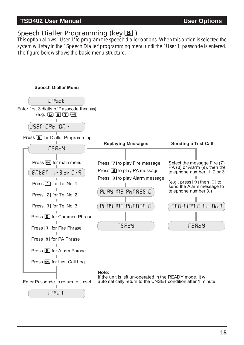### <span id="page-16-0"></span>**TSD402 User Manual User Options**

# Speech Dialler Programming (key **8**)

This option allows `User 1' to program the speech dialler options. When this option is selected the system will stay in the `Speech Dialler' programming menu until the `User 1' passcode is entered. The figure below shows the basic menu structure.

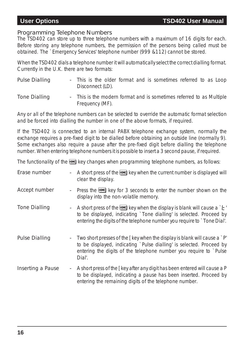#### Programming Telephone Numbers

The TSD402 can store up to three telephone numbers with a maximum of 16 digits for each. Before storing any telephone numbers, the permission of the persons being called must be obtained. The `Emergency Services' telephone number (999 &112) cannot be stored.

When the TSD402 dials a telephone number it will automatically select the correct dialling format. Currently in the U.K. there are two formats:

| <b>Pulse Dialling</b> | Disconnect (LD). |  |  | - This is the older format and is sometimes referred to as Loop      |  |  |
|-----------------------|------------------|--|--|----------------------------------------------------------------------|--|--|
| <b>Tone Dialling</b>  | Frequency (MF).  |  |  | - This is the modern format and is sometimes referred to as Multiple |  |  |

Any or all of the telephone numbers can be selected to override the automatic format selection and be forced into dialling the number in one of the above formats, if required.

If the TSD402 is connected to an internal PABX telephone exchange system, normally the exchange requires a pre-fixed digit to be dialled before obtaining an outside line (normally 9). Some exchanges also require a pause after the pre-fixed digit before dialling the telephone number. When entering telephone numbers it is possible to insert a 3 second pause, if required.

The functionality of the **HOME** key changes when programming telephone numbers, as follows:

| Erase number          |        | A short press of the <b>HDME</b> key when the current number is displayed will<br>clear the display.                                                                                                                                                        |
|-----------------------|--------|-------------------------------------------------------------------------------------------------------------------------------------------------------------------------------------------------------------------------------------------------------------|
| Accept number         |        | Press the HOME key for 3 seconds to enter the number shown on the<br>display into the non-volatile memory.                                                                                                                                                  |
| <b>Tone Dialling</b>  |        | A short press of the HIMME key when the display is blank will cause a $E'$<br>to be displayed, indicating `Tone dialling' is selected. Proceed by<br>entering the digits of the telephone number you require to `Tone Dial'.                                |
| <b>Pulse Dialling</b> |        | Two short presses of the $\lceil \log w \rceil$ the display is blank will cause a $\lceil P' \rceil$<br>to be displayed, indicating `Pulse dialling' is selected. Proceed by<br>entering the digits of the telephone number you require to `Pulse<br>Dial'. |
| Inserting a Pause     | $\sim$ | A short press of the [key after any digit has been entered will cause a P<br>to be displayed, indicating a pause has been inserted. Proceed by<br>entering the remaining digits of the telephone number.                                                    |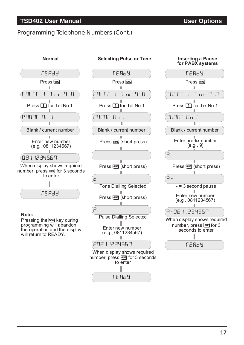#### **TSD402 User Manual User Options**

#### Programming Telephone Numbers (Cont.)





#### **Note:**

Pressing the **AWAY** key during programming will abandon the operation and the display will return to READY.



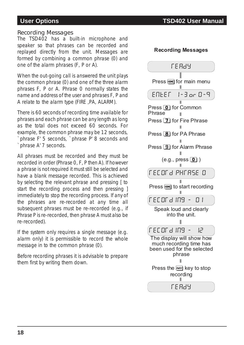### **User Options TSD402 User Manual**

**Recording Messages**

#### Recording Messages

The TSD402 has a built-in microphone and speaker so that phrases can be recorded and replayed directly from the unit. Messages are formed by combining a common phrase (0) and one of the alarm phrases (F, P or A).

When the out-going call is answered the unit plays the common phrase (0) and one of the three alarm phrases F, P or A. Phrase 0 normally states the name and address of the user and phrases F, P and A relate to the alarm type (FIRE ,PA, ALARM).

There is 60 seconds of recording time available for phrases and each phrase can be any length as long as the total does not exceed 60 seconds. For example, the common phrase may be 12 seconds, `phrase F' 5 seconds, `phrase P' 8 seconds and `phrase A' 7 seconds.

All phrases must be recorded and they must be recorded in order (Phrase 0, F, P then A). If however a phrase is not required it must still be selected and have a blank message recorded. This is achieved by selecting the relevant phrase and pressing [ to start the recording process and then pressing ] immediately to stop the recording process. If any of the phrases are re-recorded at any time all subsequent phrases must be re-recorded (e.g., if Phrase P is re-recorded, then phrase A must also be re-recorded).

If the system only requires a single message (e.g. alarm only) it is permissible to record the whole message in to the common phrase (0).

Before recording phrases it is advisable to prepare them first by writing them down.

| FE 889                                                                                       |
|----------------------------------------------------------------------------------------------|
| Press FIOME for main menu                                                                    |
| ENLEF 1-3 or 0-9                                                                             |
| Press 0 for Common<br>Phrase                                                                 |
| Press <b>7</b> for Fire Phrase                                                               |
| Press <b>8</b> for PA Phrase                                                                 |
| Press <b>9</b> for Alarm Phrase                                                              |
| (e.g., press <b>[0]</b> )                                                                    |
| <b>FECORE PHFASE O</b>                                                                       |
| Press FIDME to start recording                                                               |
| <b>FECORE INS</b><br>17 I                                                                    |
| Speak loud and clearly<br>into the unit.                                                     |
| <b>FECOR 3 189</b><br>¦¦−                                                                    |
| The display will show how<br>much recording time has<br>been used for the selected<br>phrase |
| Press the <b>AWAY</b> key to stop<br>recording                                               |
| <u> LE H9A</u>                                                                               |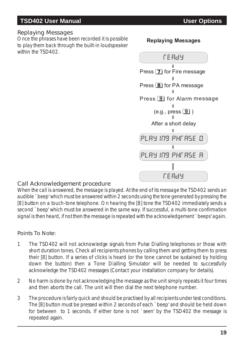### <span id="page-20-0"></span>**TSD402 User Manual User Options**

#### Replaying Messages

Once the phrases have been recorded it is possible to play them back through the built-in loudspeaker within the TSD402.

#### **Replaying Messages**



#### Call Acknowledgement procedure

When the call is answered, the message is played. At the end of its message the TSD402 sends an audible `beep' which must be answered within 2 seconds using the tone generated by pressing the [8] button on a touch-tone telephone. On hearing the [8] tone the TSD402 immediately sends a second `beep' which must be answered in the same way. If successful, a multi-tone confirmation signal is then heard, if not then the message is repeated with the acknowledgement `beeps' again.

#### Points To Note:

- 1 The TSD402 will not acknowledge signals from Pulse Dialling telephones or those with short duration tones. Check all recipients phones by calling them and getting them to press their [8] button. If a series of clicks is heard (or the tone cannot be sustained by holding down the button) then a Tone Dialling Simulator will be needed to successfully acknowledge the TSD402 messages (Contact your installation company for details).
- 2 No harm is done by not acknowledging the message as the unit simply repeats it four times and then aborts the call. The unit will then dial the next telephone number.
- 3 The procedure is fairly quick and should be practised by all recipients under test conditions. The [8] button must be pressed within 2 seconds of each `beep' and should be held down for between to 1 seconds. If either tone is not `seen' by the TSD402 the message is repeated again.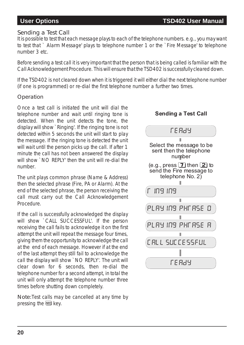#### Sending a Test Call

It is possible to test that each message plays to each of the telephone numbers, e.g., you may want to test that ` Alarm Message' plays to telephone number 1 or the `Fire Message' to telephone number 3 etc.

Before sending a test call it is very important that the person that is being called is familiar with the Call Acknowledgement Procedure. This will ensure that the TSD402 is successfully cleared down.

If the TSD402 is not cleared down when it is triggered it will either dial the next telephone number (if one is programmed) or re-dial the first telephone number a further two times.

#### **Operation**

Once a test call is initiated the unit will dial the telephone number and wait until ringing tone is detected. When the unit detects the tone, the display will show `Ringing'. If the ringing tone is not detected within 5 seconds the unit will start to play the message. If the ringing tone is detected the unit will wait until the person picks up the call. If after 1 minute the call has not been answered the display will show `NO REPLY' then the unit will re-dial the number.

The unit plays common phrase (Name & Address) then the selected phrase (Fire, PA or Alarm). At the end of the selected phrase, the person receiving the call must carry out the Call Acknowledgement Procedure.

If the call is successfully acknowledged the display will show `CALL SUCCESSFUL'. If the person receiving the call fails to acknowledge it on the first attempt the unit will repeat the message four times, giving them the opportunity to acknowledge the call at the end of each message. However if at the end of the last attempt they still fail to acknowledge the call the display will show `NO REPLY'. The unit will clear down for 6 seconds, then re-dial the telephone number for a second attempt, in total the unit will only attempt the telephone number three times before shutting down completely.

Note:Test calls may be cancelled at any time by pressing the **AWAY** key.

### **Sending a Test Call**

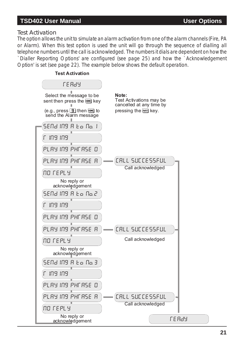#### **TSD402 User Manual User Options**

#### Test Activation

The option allows the unit to simulate an alarm activation from one of the alarm channels (Fire, PA or Alarm). When this test option is used the unit will go through the sequence of dialling all telephone numbers until the call is acknowledged. The numbers it dials are dependent on how the `Dialler Reporting Options' are configured (see page 25) and how the `Acknowledgement Option' is set (see page 22). The example below shows the default operation.

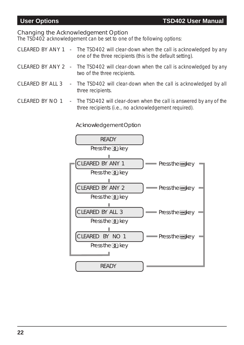#### <span id="page-23-0"></span>Changing the Acknowledgement Option

The TSD402 acknowledgement can be set to one of the following options:

- CLEARED BY ANY 1 The TSD402 will clear-down when the call is acknowledged by any one of the three recipients (this is the default setting).
- CLEARED BY ANY 2 The TSD402 will clear-down when the call is acknowledged by any two of the three recipients.
- CLEARED BY ALL 3 The TSD402 will clear-down when the call is acknowledged by all three recipients.
- CLEARED BY NO 1 The TSD402 will clear-down when the call is answered by any of the three recipients (i.e., no acknowledgement required).

#### Acknowledgement Option

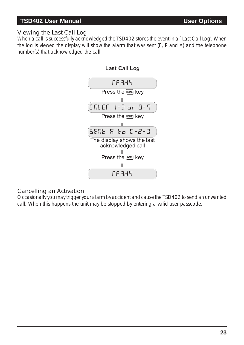#### **TSD402 User Manual User Options**

#### Viewing the Last Call Log

When a call is successfully acknowledged the TSD402 stores the event in a `Last Call Log'. When the log is viewed the display will show the alarm that was sent (F, P and A) and the telephone number(s) that acknowledged the call.





#### Cancelling an Activation

Occasionally you may trigger your alarm by accident and cause the TSD402 to send an unwanted call. When this happens the unit may be stopped by entering a valid user passcode.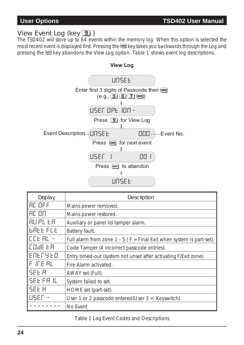## <span id="page-25-0"></span>View Event Log (key  $\boxed{9}$ )

The TSD402 will store up to 64 events within the memory log. When this option is selected the most recent event is displayed first. Pressing the **FINKE** key takes you backwards through the Log and pressing the **NAM** key abandons the View Log option. Table 1 shows event log descriptions.



| Display          | Description                                                            |
|------------------|------------------------------------------------------------------------|
| <b>AC OFF</b>    | Mains power removed.                                                   |
| <b>AC ON</b>     | Mains power restored.                                                  |
| I AU PL EA       | Auxiliary or panel lid tamper alarm.                                   |
| <b>GALLFLL</b>   | Battery fault.                                                         |
| ICCE AL -        | Full alarm from zone $1 - 5$ (F = Final Exit when system is part-set). |
| ICOJE ER         | Code Tamper (4 incorrect passcode entries).                            |
| ENERSED          | Entry timed-out (system not unset after activating F/Exit zone).       |
| IF IFE AL        | Fire Alarm activated.                                                  |
| <b>SEE R</b>     | AWAY set (Full).                                                       |
| <b>SEE FR IL</b> | System failed to set.                                                  |
| SEE H            | HOME set (part-set).                                                   |
| LUSEF            | User 1 or 2 passcode entered (User $3 =$ Keyswitch).                   |
|                  | No Event                                                               |

Table 1 Log Event Codes and Descriptions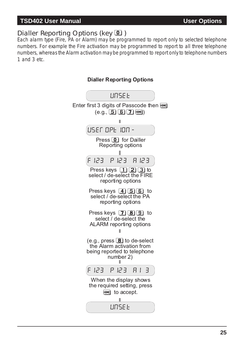#### <span id="page-26-0"></span>**TSD402 User Manual User Options**

# Dialler Reporting Options (key 0)

Each alarm type (Fire, PA or Alarm) may be programmed to report only to selected telephone numbers. For example the Fire activation may be programmed to report to all three telephone numbers, whereas the Alarm activation may be programmed to report only to telephone numbers 1 and 3 etc.



#### **Dialler Reporting Options**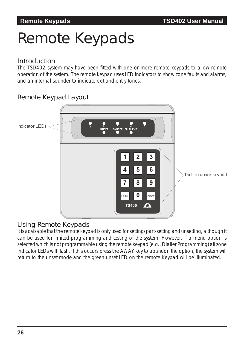# <span id="page-27-0"></span>Remote Keypads

### Introduction

The TSD402 system may have been fitted with one or more remote keypads to allow remote operation of the system. The remote keypad uses LED indicators to show zone faults and alarms, and an internal sounder to indicate exit and entry tones.

## Remote Keypad Layout



### Using Remote Keypads

It is advisable that the remote keypad is only used forsetting/part-setting and unsetting, although it can be used for limited programming and testing of the system. However, if a menu option is selected which is not programmable using the remote keypad (e.g., Dialler Programming) all zone indicator LEDs will flash. If this occurs press the AWAY key to abandon the option, the system will return to the unset mode and the green unset LED on the remote Keypad will be illuminated.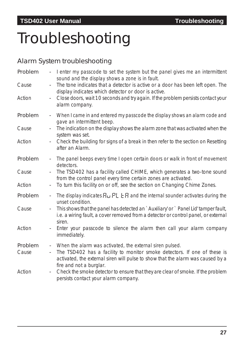# <span id="page-28-0"></span>Troubleshooting

# Alarm System troubleshooting

| Problem<br>Cause<br>Action | $\frac{1}{2}$<br>$\overline{\phantom{a}}$  | I enter my passcode to set the system but the panel gives me an intermittent<br>sound and the display shows a zone is in fault.<br>The tone indicates that a detector is active or a door has been left open. The<br>display indicates which detector or door is active.<br>Close doors, wait 10 seconds and try again. If the problem persists contact your<br>alarm company. |
|----------------------------|--------------------------------------------|--------------------------------------------------------------------------------------------------------------------------------------------------------------------------------------------------------------------------------------------------------------------------------------------------------------------------------------------------------------------------------|
| Problem                    | $\blacksquare$                             | When I came in and entered my passcode the display shows an alarm code and<br>gave an intermittent beep.                                                                                                                                                                                                                                                                       |
| Cause                      |                                            | The indication on the display shows the alarm zone that was activated when the<br>system was set.                                                                                                                                                                                                                                                                              |
| Action                     | $\overline{\phantom{a}}$                   | Check the building for signs of a break in then refer to the section on Resetting<br>after an Alarm.                                                                                                                                                                                                                                                                           |
| Problem                    | $\overline{\phantom{a}}$                   | The panel beeps every time I open certain doors or walk in front of movement<br>detectors.                                                                                                                                                                                                                                                                                     |
| Cause                      |                                            | The TSD402 has a facility called CHIME, which generates a two-tone sound<br>from the control panel every time certain zones are activated.                                                                                                                                                                                                                                     |
| Action                     | $\blacksquare$                             | To turn this facility on or off, see the section on Changing Chime Zones.                                                                                                                                                                                                                                                                                                      |
| Problem                    | $\equiv$                                   | The display indicates $H_U$ PL E H and the internal sounder activates during the<br>unset condition.                                                                                                                                                                                                                                                                           |
| Cause                      |                                            | This shows that the panel has detected an `Auxiliary' or `Panel Lid' tamper fault,<br>i.e. a wiring fault, a cover removed from a detector or control panel, or external<br>siren.                                                                                                                                                                                             |
| Action                     | $\qquad \qquad -$                          | Enter your passcode to silence the alarm then call your alarm company<br>immediately.                                                                                                                                                                                                                                                                                          |
| Problem<br>Cause           | $\blacksquare$<br>$\overline{\phantom{a}}$ | When the alarm was activated, the external siren pulsed.<br>The TSD402 has a facility to monitor smoke detectors. If one of these is<br>activated, the external siren will pulse to show that the alarm was caused by a<br>fire and not a burglar.                                                                                                                             |
| Action                     |                                            | Check the smoke detector to ensure that they are clear of smoke. If the problem<br>persists contact your alarm company.                                                                                                                                                                                                                                                        |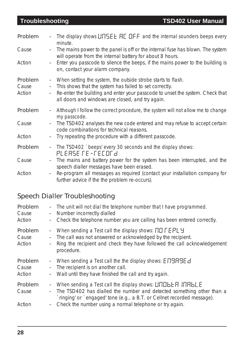| Problem                    | $\overline{\phantom{a}}$                                                  | The display shows $LITSEE$ HE OFF and the internal sounders beeps every<br>minute.                                                                                                                                                                           |
|----------------------------|---------------------------------------------------------------------------|--------------------------------------------------------------------------------------------------------------------------------------------------------------------------------------------------------------------------------------------------------------|
| Cause                      | $\equiv$                                                                  | The mains power to the panel is off or the internal fuse has blown. The system<br>will operate from the internal battery for about 8 hours.                                                                                                                  |
| Action                     | $\equiv$                                                                  | Enter you passcode to silence the beeps, if the mains power to the building is<br>on, contact your alarm company.                                                                                                                                            |
| Problem<br>Cause<br>Action | $\blacksquare$<br>$\overline{\phantom{a}}$<br>$\mathcal{L}_{\mathcal{A}}$ | When setting the system, the outside strobe starts to flash.<br>This shows that the system has failed to set correctly.<br>Re-enter the building and enter your passcode to unset the system. Check that<br>all doors and windows are closed, and try again. |
| Problem                    | $\mathcal{L}_{\mathcal{A}}$                                               | Although I follow the correct procedure, the system will not allow me to change<br>my passcode.                                                                                                                                                              |
| Cause                      | $\equiv$                                                                  | The TSD402 analyses the new code entered and may refuse to accept certain<br>code combinations for technical reasons.                                                                                                                                        |
| Action                     |                                                                           | Try repeating the procedure with a different passcode.                                                                                                                                                                                                       |
| Problem                    | $\equiv$                                                                  | The TSD402 `beeps' every 30 seconds and the display shows:<br>PLEASE FE-FECOF 2                                                                                                                                                                              |
| Cause                      |                                                                           | The mains and battery power for the system has been interrupted, and the<br>speech dialler messages have been erased.                                                                                                                                        |
| Action                     | $\overline{\phantom{a}}$                                                  | Re-program all messages as required (contact your installation company for<br>further advice if the the problem re-occurs).                                                                                                                                  |

# Speech Dialler Troubleshooting

| Problem                    | $\sim$                                                           | The unit will not dial the telephone number that I have programmed.                                                                                                                                                                                                        |
|----------------------------|------------------------------------------------------------------|----------------------------------------------------------------------------------------------------------------------------------------------------------------------------------------------------------------------------------------------------------------------------|
| Cause                      | $\omega_{\rm c}$                                                 | Number incorrectly dialled                                                                                                                                                                                                                                                 |
| Action                     | $\overline{\phantom{a}}$                                         | Check the telephone number you are calling has been entered correctly.                                                                                                                                                                                                     |
| Problem<br>Cause<br>Action | $\overline{\phantom{a}}$<br>$\equiv$<br>$\overline{\phantom{a}}$ | When sending a Test call the display shows: $\prod \Gamma \in \mathbb{P}$ . $\Box$<br>The call was not answered or acknowledged by the recipient.<br>Ring the recipient and check they have followed the call acknowledgement<br>procedure.                                |
| Problem                    | $\pm$                                                            | When sending a Test call the the display shows: E [1989]                                                                                                                                                                                                                   |
| Cause                      | $\overline{\phantom{a}}$                                         | The recipient is on another call.                                                                                                                                                                                                                                          |
| Action                     | $\overline{\phantom{a}}$                                         | Wait until they have finished the call and try again.                                                                                                                                                                                                                      |
| Problem<br>Cause<br>Action | $\overline{\phantom{a}}$<br>$\sim$                               | When sending a Test call the display shows: LINDLE R INRELE<br>The TSD402 has dialled the number and detected something other than a<br>`ringing' or `engaged' tone (e.g., a B.T. or Cellnet recorded message).<br>Check the number using a normal telephone or try again. |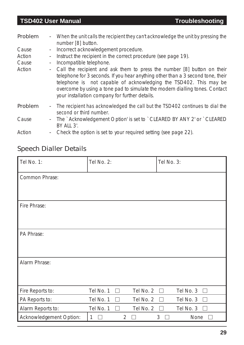#### **TSD402 User Manual Troubleshooting**

| Problem | $\sim 10^{-1}$           | When the unit calls the recipient they can't acknowledge the unit by pressing the<br>number [8] button.                                                                                                                                                                                                                                                          |
|---------|--------------------------|------------------------------------------------------------------------------------------------------------------------------------------------------------------------------------------------------------------------------------------------------------------------------------------------------------------------------------------------------------------|
| Cause   | $\sim$                   | Incorrect acknowledgement procedure.                                                                                                                                                                                                                                                                                                                             |
| Action  | $\overline{\phantom{a}}$ | Instruct the recipient in the correct procedure (see page 19).                                                                                                                                                                                                                                                                                                   |
| Cause   | $\overline{\phantom{a}}$ | Incompatible telephone.                                                                                                                                                                                                                                                                                                                                          |
| Action  | $\sim$                   | Call the recipient and ask them to press the number [8] button on their<br>telephone for 3 seconds. If you hear anything other than a 3 second tone, their<br>telephone is not capable of acknowledging the TSD402. This may be<br>overcome by using a tone pad to simulate the modern dialling tones. Contact<br>your installation company for further details. |
| Problem | $\sim$                   | The recipient has acknowledged the call but the TSD402 continues to dial the<br>second or third number.                                                                                                                                                                                                                                                          |
| Cause   | $\sim 10^{-1}$           | The `Acknowledgement Option' is set to `CLEARED BY ANY 2' or `CLEARED<br>BY ALL 3'.                                                                                                                                                                                                                                                                              |
| Action  |                          | Check the option is set to your required setting (see page 22).                                                                                                                                                                                                                                                                                                  |

# Speech Dialler Details

| Tel No. 1:              | Tel No. 2:             | Tel No. 3:             |
|-------------------------|------------------------|------------------------|
| Common Phrase:          |                        |                        |
|                         |                        |                        |
| Fire Phrase:            |                        |                        |
|                         |                        |                        |
| PA Phrase:              |                        |                        |
|                         |                        |                        |
| Alarm Phrase:           |                        |                        |
|                         |                        |                        |
| Fire Reports to:        | Tel No. 1<br>Tel No. 2 | Tel No. 3<br>$\sim 10$ |
| PA Reports to:          | Tel No. 1<br>Tel No. 2 | Tel No. 3              |
| Alarm Reports to:       | Tel No. 2<br>Tel No. 1 | Tel No. 3              |
| Acknowledgement Option: | $\overline{2}$<br>1    | 3<br>None              |